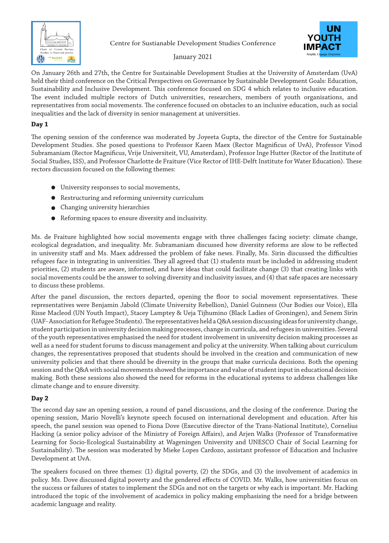

Centre for Sustianable Development Studies Conference



January 2021

On January 26th and 27th, the Centre for Sustainable Development Studies at the University of Amsterdam (UvA) held their third conference on the Critical Perspectives on Governance by Sustainable Development Goals: Education, Sustainability and Inclusive Development. This conference focused on SDG 4 which relates to inclusive education. The event included multiple rectors of Dutch universities, researchers, members of youth organisations, and representatives from social movements. The conference focused on obstacles to an inclusive education, such as social inequalities and the lack of diversity in senior management at universities.

## **Day 1**

The opening session of the conference was moderated by Joyeeta Gupta, the director of the Centre for Sustainable Development Studies. She posed questions to Professor Karen Maex (Rector Magnificus of UvA), Professor Vinod Subramaniam (Rector Magnificus, Vrije Universiteit, VU, Amsterdam), Professor Inge Hutter (Rector of the Institute of Social Studies, ISS), and Professor Charlotte de Fraiture (Vice Rector of IHE-Delft Institute for Water Education). These rectors discussion focused on the following themes:

- University responses to social movements,
- Restructuring and reforming university curriculum
- Changing university hierarchies
- Reforming spaces to ensure diversity and inclusivity.

Ms. de Fraiture highlighted how social movements engage with three challenges facing society: climate change, ecological degradation, and inequality. Mr. Subramaniam discussed how diversity reforms are slow to be reflected in university staff and Ms. Maex addressed the problem of fake news. Finally, Ms. Sirin discussed the difficulties refugees face in integrating in universities. They all agreed that (1) students must be included in addressing student priorities, (2) students are aware, informed, and have ideas that could facilitate change (3) that creating links with social movements could be the answer to solving diversity and inclusivity issues, and (4) that safe spaces are necessary to discuss these problems.

After the panel discussion, the rectors departed, opening the floor to social movement representatives. These representatives were Benjamin Jabold (Climate University Rebellion), Daniel Guinness (Our Bodies our Voice), Ella Risse Macleod (UN Youth Impact), Stacey Lamptey & Ueja Tijhumino (Black Ladies of Groningen), and Senem Sirin (UAF- Association for Refugee Students). The representatives held a Q&A session discussing ideas for university change, student participation in university decision making processes, change in curricula, and refugees in universities. Several of the youth representatives emphasised the need for student involvement in university decision making processes as well as a need for student forums to discuss management and policy at the university. When talking about curriculum changes, the representatives proposed that students should be involved in the creation and communication of new university policies and that there should be diversity in the groups that make curricula decisions. Both the opening session and the Q&A with social movements showed the importance and value of student input in educational decision making. Both these sessions also showed the need for reforms in the educational systems to address challenges like climate change and to ensure diversity.

## **Day 2**

The second day saw an opening session, a round of panel discussions, and the closing of the conference. During the opening session, Mario Novelli's keynote speech focused on international development and education. After his speech, the panel session was opened to Fiona Dove (Executive director of the Trans-National Institute), Cornelius Hacking (a senior policy advisor of the Ministry of Foreign Affairs), and Arjen Walks (Professor of Transformative Learning for Socio-Ecological Sustainability at Wageningen University and UNESCO Chair of Social Learning for Sustainability). The session was moderated by Mieke Lopes Cardozo, assistant professor of Education and Inclusive Development at UvA.

The speakers focused on three themes: (1) digital poverty, (2) the SDGs, and (3) the involvement of academics in policy. Ms. Dove discussed digital poverty and the gendered effects of COVID. Mr. Walks, how universities focus on the success or failures of states to implement the SDGs and not on the targets or why each is important. Mr. Hacking introduced the topic of the involvement of academics in policy making emphasising the need for a bridge between academic language and reality.